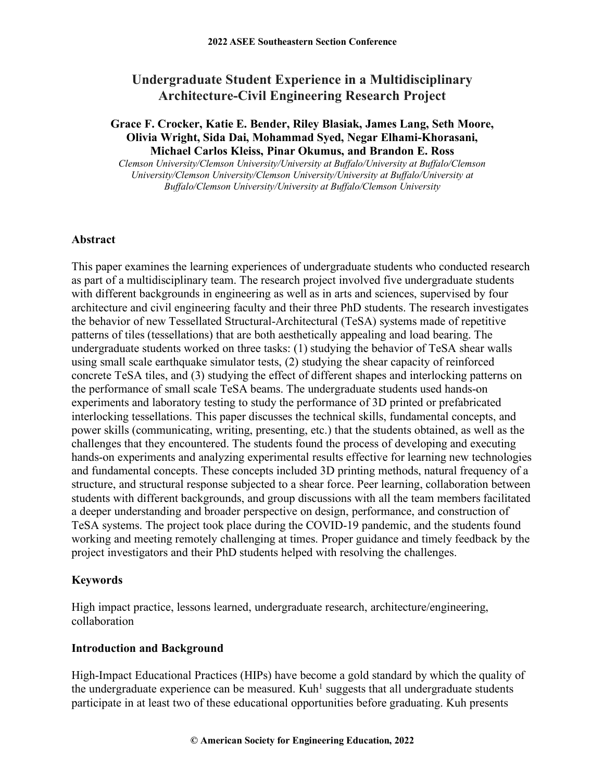# **Undergraduate Student Experience in a Multidisciplinary Architecture-Civil Engineering Research Project**

# **Grace F. Crocker, Katie E. Bender, Riley Blasiak, James Lang, Seth Moore, Olivia Wright, Sida Dai, Mohammad Syed, Negar Elhami-Khorasani, Michael Carlos Kleiss, Pinar Okumus, and Brandon E. Ross**

*Clemson University/Clemson University/University at Buffalo/University at Buffalo/Clemson University/Clemson University/Clemson University/University at Buffalo/University at Buffalo/Clemson University/University at Buffalo/Clemson University*

#### **Abstract**

This paper examines the learning experiences of undergraduate students who conducted research as part of a multidisciplinary team. The research project involved five undergraduate students with different backgrounds in engineering as well as in arts and sciences, supervised by four architecture and civil engineering faculty and their three PhD students. The research investigates the behavior of new Tessellated Structural-Architectural (TeSA) systems made of repetitive patterns of tiles (tessellations) that are both aesthetically appealing and load bearing. The undergraduate students worked on three tasks: (1) studying the behavior of TeSA shear walls using small scale earthquake simulator tests, (2) studying the shear capacity of reinforced concrete TeSA tiles, and (3) studying the effect of different shapes and interlocking patterns on the performance of small scale TeSA beams. The undergraduate students used hands-on experiments and laboratory testing to study the performance of 3D printed or prefabricated interlocking tessellations. This paper discusses the technical skills, fundamental concepts, and power skills (communicating, writing, presenting, etc.) that the students obtained, as well as the challenges that they encountered. The students found the process of developing and executing hands-on experiments and analyzing experimental results effective for learning new technologies and fundamental concepts. These concepts included 3D printing methods, natural frequency of a structure, and structural response subjected to a shear force. Peer learning, collaboration between students with different backgrounds, and group discussions with all the team members facilitated a deeper understanding and broader perspective on design, performance, and construction of TeSA systems. The project took place during the COVID-19 pandemic, and the students found working and meeting remotely challenging at times. Proper guidance and timely feedback by the project investigators and their PhD students helped with resolving the challenges.

# **Keywords**

High impact practice, lessons learned, undergraduate research, architecture/engineering, collaboration

#### **Introduction and Background**

High-Impact Educational Practices (HIPs) have become a gold standard by which the quality of the undergraduate experience can be measured. Kuh<sup>1</sup> suggests that all undergraduate students participate in at least two of these educational opportunities before graduating. Kuh presents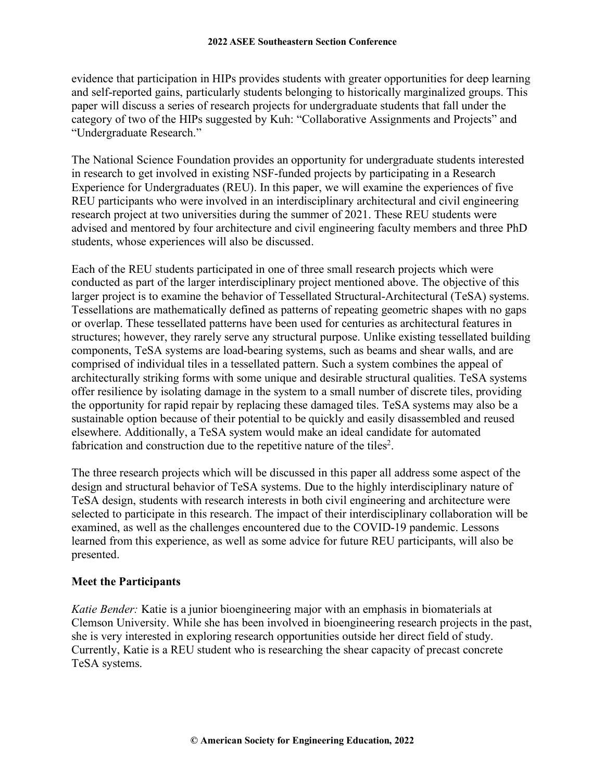evidence that participation in HIPs provides students with greater opportunities for deep learning and self-reported gains, particularly students belonging to historically marginalized groups. This paper will discuss a series of research projects for undergraduate students that fall under the category of two of the HIPs suggested by Kuh: "Collaborative Assignments and Projects" and "Undergraduate Research."

The National Science Foundation provides an opportunity for undergraduate students interested in research to get involved in existing NSF-funded projects by participating in a Research Experience for Undergraduates (REU). In this paper, we will examine the experiences of five REU participants who were involved in an interdisciplinary architectural and civil engineering research project at two universities during the summer of 2021. These REU students were advised and mentored by four architecture and civil engineering faculty members and three PhD students, whose experiences will also be discussed.

Each of the REU students participated in one of three small research projects which were conducted as part of the larger interdisciplinary project mentioned above. The objective of this larger project is to examine the behavior of Tessellated Structural-Architectural (TeSA) systems. Tessellations are mathematically defined as patterns of repeating geometric shapes with no gaps or overlap. These tessellated patterns have been used for centuries as architectural features in structures; however, they rarely serve any structural purpose. Unlike existing tessellated building components, TeSA systems are load-bearing systems, such as beams and shear walls, and are comprised of individual tiles in a tessellated pattern. Such a system combines the appeal of architecturally striking forms with some unique and desirable structural qualities. TeSA systems offer resilience by isolating damage in the system to a small number of discrete tiles, providing the opportunity for rapid repair by replacing these damaged tiles. TeSA systems may also be a sustainable option because of their potential to be quickly and easily disassembled and reused elsewhere. Additionally, a TeSA system would make an ideal candidate for automated fabrication and construction due to the repetitive nature of the tiles<sup>2</sup>.

The three research projects which will be discussed in this paper all address some aspect of the design and structural behavior of TeSA systems. Due to the highly interdisciplinary nature of TeSA design, students with research interests in both civil engineering and architecture were selected to participate in this research. The impact of their interdisciplinary collaboration will be examined, as well as the challenges encountered due to the COVID-19 pandemic. Lessons learned from this experience, as well as some advice for future REU participants, will also be presented.

# **Meet the Participants**

*Katie Bender:* Katie is a junior bioengineering major with an emphasis in biomaterials at Clemson University. While she has been involved in bioengineering research projects in the past, she is very interested in exploring research opportunities outside her direct field of study. Currently, Katie is a REU student who is researching the shear capacity of precast concrete TeSA systems.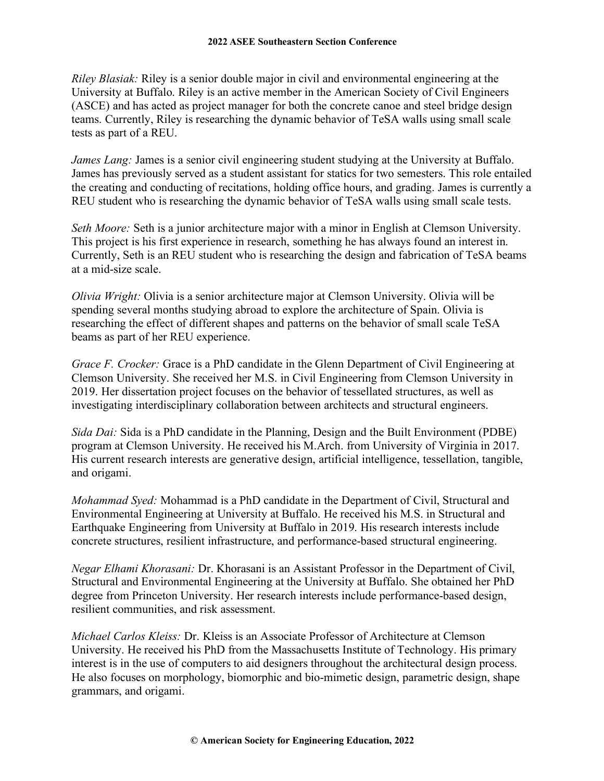*Riley Blasiak:* Riley is a senior double major in civil and environmental engineering at the University at Buffalo. Riley is an active member in the American Society of Civil Engineers (ASCE) and has acted as project manager for both the concrete canoe and steel bridge design teams. Currently, Riley is researching the dynamic behavior of TeSA walls using small scale tests as part of a REU.

*James Lang:* James is a senior civil engineering student studying at the University at Buffalo. James has previously served as a student assistant for statics for two semesters. This role entailed the creating and conducting of recitations, holding office hours, and grading. James is currently a REU student who is researching the dynamic behavior of TeSA walls using small scale tests.

*Seth Moore:* Seth is a junior architecture major with a minor in English at Clemson University. This project is his first experience in research, something he has always found an interest in. Currently, Seth is an REU student who is researching the design and fabrication of TeSA beams at a mid-size scale.

*Olivia Wright:* Olivia is a senior architecture major at Clemson University. Olivia will be spending several months studying abroad to explore the architecture of Spain. Olivia is researching the effect of different shapes and patterns on the behavior of small scale TeSA beams as part of her REU experience.

*Grace F. Crocker:* Grace is a PhD candidate in the Glenn Department of Civil Engineering at Clemson University. She received her M.S. in Civil Engineering from Clemson University in 2019. Her dissertation project focuses on the behavior of tessellated structures, as well as investigating interdisciplinary collaboration between architects and structural engineers.

*Sida Dai:* Sida is a PhD candidate in the Planning, Design and the Built Environment (PDBE) program at Clemson University. He received his M.Arch. from University of Virginia in 2017. His current research interests are generative design, artificial intelligence, tessellation, tangible, and origami.

*Mohammad Syed:* Mohammad is a PhD candidate in the Department of Civil, Structural and Environmental Engineering at University at Buffalo. He received his M.S. in Structural and Earthquake Engineering from University at Buffalo in 2019. His research interests include concrete structures, resilient infrastructure, and performance-based structural engineering.

*Negar Elhami Khorasani:* Dr. Khorasani is an Assistant Professor in the Department of Civil, Structural and Environmental Engineering at the University at Buffalo. She obtained her PhD degree from Princeton University. Her research interests include performance-based design, resilient communities, and risk assessment.

*Michael Carlos Kleiss:* Dr. Kleiss is an Associate Professor of Architecture at Clemson University. He received his PhD from the Massachusetts Institute of Technology. His primary interest is in the use of computers to aid designers throughout the architectural design process. He also focuses on morphology, biomorphic and bio-mimetic design, parametric design, shape grammars, and origami.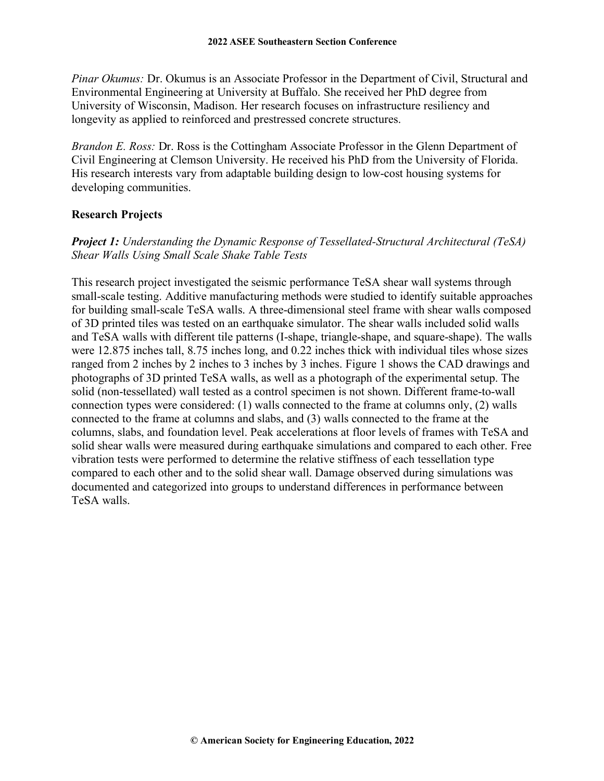*Pinar Okumus: Dr. Okumus is an Associate Professor in the Department of Civil, Structural and* Environmental Engineering at University at Buffalo. She received her PhD degree from University of Wisconsin, Madison. Her research focuses on infrastructure resiliency and longevity as applied to reinforced and prestressed concrete structures.

*Brandon E. Ross:* Dr. Ross is the Cottingham Associate Professor in the Glenn Department of Civil Engineering at Clemson University. He received his PhD from the University of Florida. His research interests vary from adaptable building design to low-cost housing systems for developing communities.

# **Research Projects**

# *Project 1: Understanding the Dynamic Response of Tessellated-Structural Architectural (TeSA) Shear Walls Using Small Scale Shake Table Tests*

This research project investigated the seismic performance TeSA shear wall systems through small-scale testing. Additive manufacturing methods were studied to identify suitable approaches for building small-scale TeSA walls. A three-dimensional steel frame with shear walls composed of 3D printed tiles was tested on an earthquake simulator. The shear walls included solid walls and TeSA walls with different tile patterns (I-shape, triangle-shape, and square-shape). The walls were 12.875 inches tall, 8.75 inches long, and 0.22 inches thick with individual tiles whose sizes ranged from 2 inches by 2 inches to 3 inches by 3 inches. Figure 1 shows the CAD drawings and photographs of 3D printed TeSA walls, as well as a photograph of the experimental setup. The solid (non-tessellated) wall tested as a control specimen is not shown. Different frame-to-wall connection types were considered: (1) walls connected to the frame at columns only, (2) walls connected to the frame at columns and slabs, and (3) walls connected to the frame at the columns, slabs, and foundation level. Peak accelerations at floor levels of frames with TeSA and solid shear walls were measured during earthquake simulations and compared to each other. Free vibration tests were performed to determine the relative stiffness of each tessellation type compared to each other and to the solid shear wall. Damage observed during simulations was documented and categorized into groups to understand differences in performance between TeSA walls.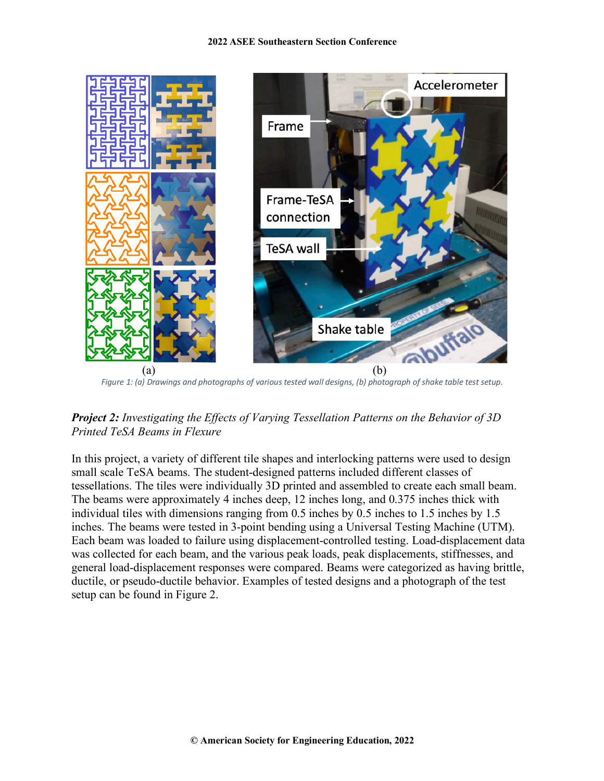

*Figure 1: (a) Drawings and photographs of various tested wall designs, (b) photograph of shake table test setup.*

*Project 2: Investigating the Effects of Varying Tessellation Patterns on the Behavior of 3D Printed TeSA Beams in Flexure*

In this project, a variety of different tile shapes and interlocking patterns were used to design small scale TeSA beams. The student-designed patterns included different classes of tessellations. The tiles were individually 3D printed and assembled to create each small beam. The beams were approximately 4 inches deep, 12 inches long, and 0.375 inches thick with individual tiles with dimensions ranging from 0.5 inches by 0.5 inches to 1.5 inches by 1.5 inches. The beams were tested in 3-point bending using a Universal Testing Machine (UTM). Each beam was loaded to failure using displacement-controlled testing. Load-displacement data was collected for each beam, and the various peak loads, peak displacements, stiffnesses, and general load-displacement responses were compared. Beams were categorized as having brittle, ductile, or pseudo-ductile behavior. Examples of tested designs and a photograph of the test setup can be found in Figure 2.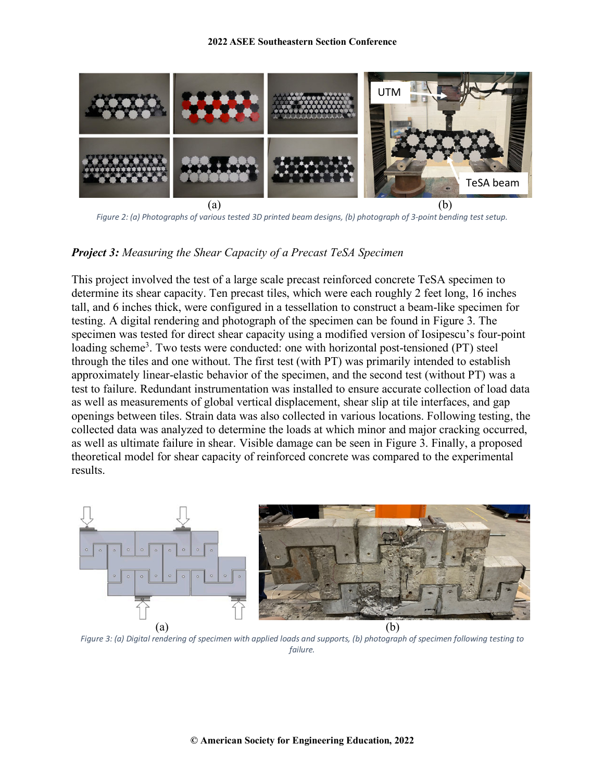

*Figure 2: (a) Photographs of various tested 3D printed beam designs, (b) photograph of 3-point bending test setup.*

#### *Project 3: Measuring the Shear Capacity of a Precast TeSA Specimen*

This project involved the test of a large scale precast reinforced concrete TeSA specimen to determine its shear capacity. Ten precast tiles, which were each roughly 2 feet long, 16 inches tall, and 6 inches thick, were configured in a tessellation to construct a beam-like specimen for testing. A digital rendering and photograph of the specimen can be found in Figure 3. The specimen was tested for direct shear capacity using a modified version of Iosipescu's four-point loading scheme<sup>3</sup>. Two tests were conducted: one with horizontal post-tensioned (PT) steel through the tiles and one without. The first test (with PT) was primarily intended to establish approximately linear-elastic behavior of the specimen, and the second test (without PT) was a test to failure. Redundant instrumentation was installed to ensure accurate collection of load data as well as measurements of global vertical displacement, shear slip at tile interfaces, and gap openings between tiles. Strain data was also collected in various locations. Following testing, the collected data was analyzed to determine the loads at which minor and major cracking occurred, as well as ultimate failure in shear. Visible damage can be seen in Figure 3. Finally, a proposed theoretical model for shear capacity of reinforced concrete was compared to the experimental results.



*Figure 3: (a) Digital rendering of specimen with applied loads and supports, (b) photograph of specimen following testing to failure.*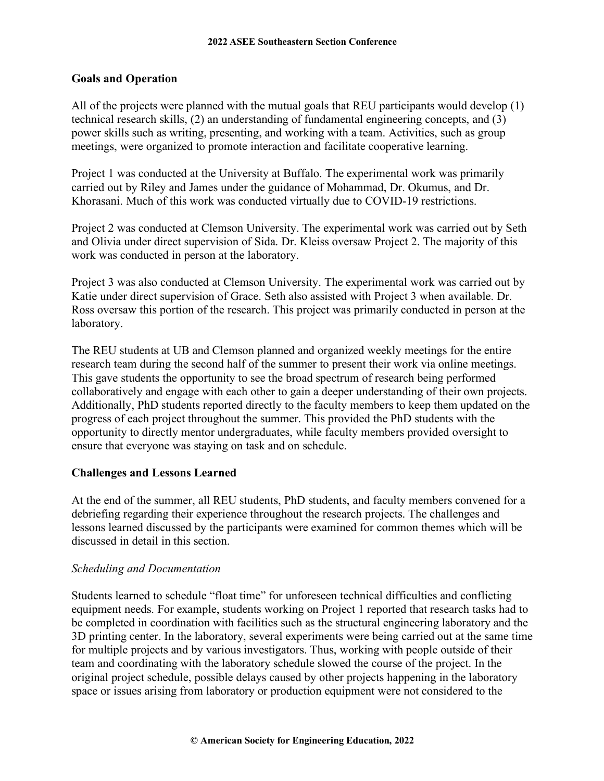### **Goals and Operation**

All of the projects were planned with the mutual goals that REU participants would develop (1) technical research skills, (2) an understanding of fundamental engineering concepts, and (3) power skills such as writing, presenting, and working with a team. Activities, such as group meetings, were organized to promote interaction and facilitate cooperative learning.

Project 1 was conducted at the University at Buffalo. The experimental work was primarily carried out by Riley and James under the guidance of Mohammad, Dr. Okumus, and Dr. Khorasani. Much of this work was conducted virtually due to COVID-19 restrictions.

Project 2 was conducted at Clemson University. The experimental work was carried out by Seth and Olivia under direct supervision of Sida. Dr. Kleiss oversaw Project 2. The majority of this work was conducted in person at the laboratory.

Project 3 was also conducted at Clemson University. The experimental work was carried out by Katie under direct supervision of Grace. Seth also assisted with Project 3 when available. Dr. Ross oversaw this portion of the research. This project was primarily conducted in person at the laboratory.

The REU students at UB and Clemson planned and organized weekly meetings for the entire research team during the second half of the summer to present their work via online meetings. This gave students the opportunity to see the broad spectrum of research being performed collaboratively and engage with each other to gain a deeper understanding of their own projects. Additionally, PhD students reported directly to the faculty members to keep them updated on the progress of each project throughout the summer. This provided the PhD students with the opportunity to directly mentor undergraduates, while faculty members provided oversight to ensure that everyone was staying on task and on schedule.

# **Challenges and Lessons Learned**

At the end of the summer, all REU students, PhD students, and faculty members convened for a debriefing regarding their experience throughout the research projects. The challenges and lessons learned discussed by the participants were examined for common themes which will be discussed in detail in this section.

# *Scheduling and Documentation*

Students learned to schedule "float time" for unforeseen technical difficulties and conflicting equipment needs. For example, students working on Project 1 reported that research tasks had to be completed in coordination with facilities such as the structural engineering laboratory and the 3D printing center. In the laboratory, several experiments were being carried out at the same time for multiple projects and by various investigators. Thus, working with people outside of their team and coordinating with the laboratory schedule slowed the course of the project. In the original project schedule, possible delays caused by other projects happening in the laboratory space or issues arising from laboratory or production equipment were not considered to the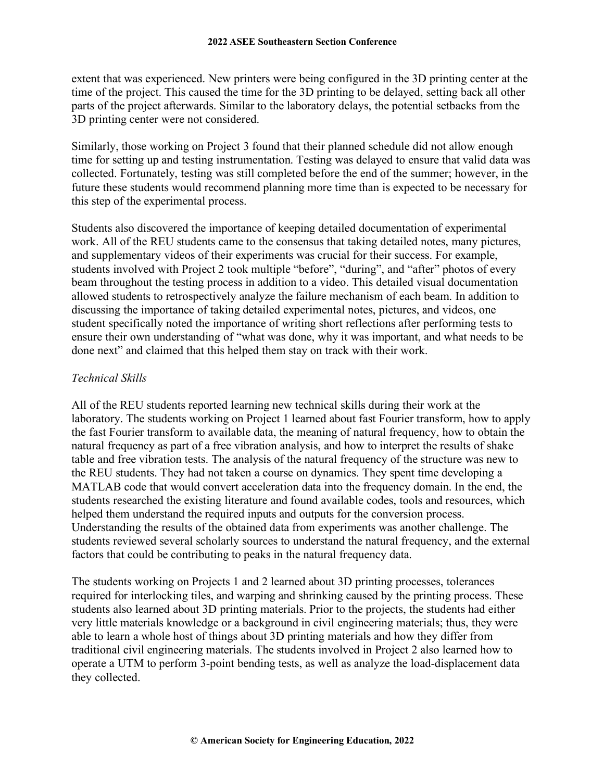extent that was experienced. New printers were being configured in the 3D printing center at the time of the project. This caused the time for the 3D printing to be delayed, setting back all other parts of the project afterwards. Similar to the laboratory delays, the potential setbacks from the 3D printing center were not considered.

Similarly, those working on Project 3 found that their planned schedule did not allow enough time for setting up and testing instrumentation. Testing was delayed to ensure that valid data was collected. Fortunately, testing was still completed before the end of the summer; however, in the future these students would recommend planning more time than is expected to be necessary for this step of the experimental process.

Students also discovered the importance of keeping detailed documentation of experimental work. All of the REU students came to the consensus that taking detailed notes, many pictures, and supplementary videos of their experiments was crucial for their success. For example, students involved with Project 2 took multiple "before", "during", and "after" photos of every beam throughout the testing process in addition to a video. This detailed visual documentation allowed students to retrospectively analyze the failure mechanism of each beam. In addition to discussing the importance of taking detailed experimental notes, pictures, and videos, one student specifically noted the importance of writing short reflections after performing tests to ensure their own understanding of "what was done, why it was important, and what needs to be done next" and claimed that this helped them stay on track with their work.

#### *Technical Skills*

All of the REU students reported learning new technical skills during their work at the laboratory. The students working on Project 1 learned about fast Fourier transform, how to apply the fast Fourier transform to available data, the meaning of natural frequency, how to obtain the natural frequency as part of a free vibration analysis, and how to interpret the results of shake table and free vibration tests. The analysis of the natural frequency of the structure was new to the REU students. They had not taken a course on dynamics. They spent time developing a MATLAB code that would convert acceleration data into the frequency domain. In the end, the students researched the existing literature and found available codes, tools and resources, which helped them understand the required inputs and outputs for the conversion process. Understanding the results of the obtained data from experiments was another challenge. The students reviewed several scholarly sources to understand the natural frequency, and the external factors that could be contributing to peaks in the natural frequency data.

The students working on Projects 1 and 2 learned about 3D printing processes, tolerances required for interlocking tiles, and warping and shrinking caused by the printing process. These students also learned about 3D printing materials. Prior to the projects, the students had either very little materials knowledge or a background in civil engineering materials; thus, they were able to learn a whole host of things about 3D printing materials and how they differ from traditional civil engineering materials. The students involved in Project 2 also learned how to operate a UTM to perform 3-point bending tests, as well as analyze the load-displacement data they collected.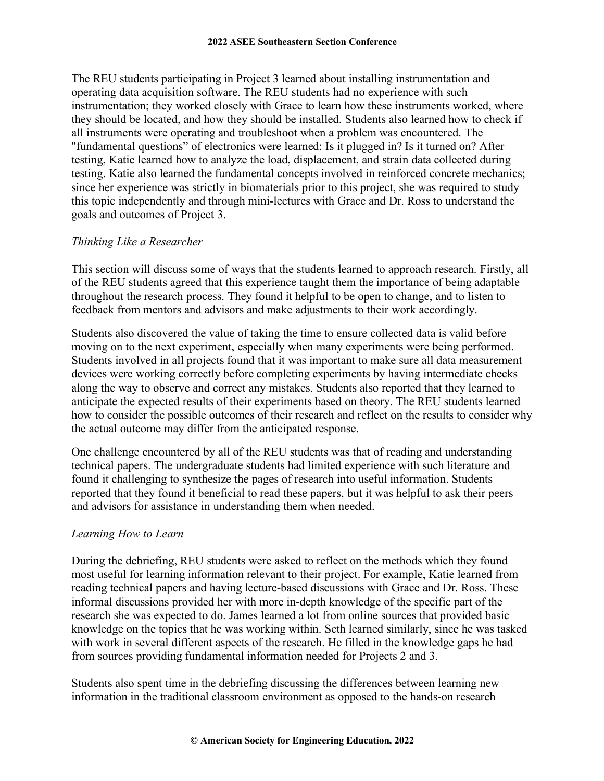The REU students participating in Project 3 learned about installing instrumentation and operating data acquisition software. The REU students had no experience with such instrumentation; they worked closely with Grace to learn how these instruments worked, where they should be located, and how they should be installed. Students also learned how to check if all instruments were operating and troubleshoot when a problem was encountered. The "fundamental questions" of electronics were learned: Is it plugged in? Is it turned on? After testing, Katie learned how to analyze the load, displacement, and strain data collected during testing. Katie also learned the fundamental concepts involved in reinforced concrete mechanics; since her experience was strictly in biomaterials prior to this project, she was required to study this topic independently and through mini-lectures with Grace and Dr. Ross to understand the goals and outcomes of Project 3.

# *Thinking Like a Researcher*

This section will discuss some of ways that the students learned to approach research. Firstly, all of the REU students agreed that this experience taught them the importance of being adaptable throughout the research process. They found it helpful to be open to change, and to listen to feedback from mentors and advisors and make adjustments to their work accordingly.

Students also discovered the value of taking the time to ensure collected data is valid before moving on to the next experiment, especially when many experiments were being performed. Students involved in all projects found that it was important to make sure all data measurement devices were working correctly before completing experiments by having intermediate checks along the way to observe and correct any mistakes. Students also reported that they learned to anticipate the expected results of their experiments based on theory. The REU students learned how to consider the possible outcomes of their research and reflect on the results to consider why the actual outcome may differ from the anticipated response.

One challenge encountered by all of the REU students was that of reading and understanding technical papers. The undergraduate students had limited experience with such literature and found it challenging to synthesize the pages of research into useful information. Students reported that they found it beneficial to read these papers, but it was helpful to ask their peers and advisors for assistance in understanding them when needed.

#### *Learning How to Learn*

During the debriefing, REU students were asked to reflect on the methods which they found most useful for learning information relevant to their project. For example, Katie learned from reading technical papers and having lecture-based discussions with Grace and Dr. Ross. These informal discussions provided her with more in-depth knowledge of the specific part of the research she was expected to do. James learned a lot from online sources that provided basic knowledge on the topics that he was working within. Seth learned similarly, since he was tasked with work in several different aspects of the research. He filled in the knowledge gaps he had from sources providing fundamental information needed for Projects 2 and 3.

Students also spent time in the debriefing discussing the differences between learning new information in the traditional classroom environment as opposed to the hands-on research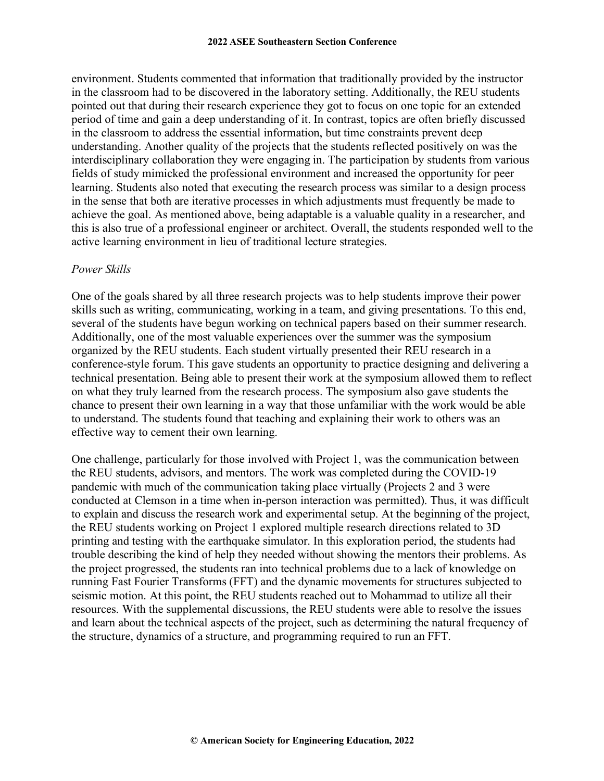environment. Students commented that information that traditionally provided by the instructor in the classroom had to be discovered in the laboratory setting. Additionally, the REU students pointed out that during their research experience they got to focus on one topic for an extended period of time and gain a deep understanding of it. In contrast, topics are often briefly discussed in the classroom to address the essential information, but time constraints prevent deep understanding. Another quality of the projects that the students reflected positively on was the interdisciplinary collaboration they were engaging in. The participation by students from various fields of study mimicked the professional environment and increased the opportunity for peer learning. Students also noted that executing the research process was similar to a design process in the sense that both are iterative processes in which adjustments must frequently be made to achieve the goal. As mentioned above, being adaptable is a valuable quality in a researcher, and this is also true of a professional engineer or architect. Overall, the students responded well to the active learning environment in lieu of traditional lecture strategies.

#### *Power Skills*

One of the goals shared by all three research projects was to help students improve their power skills such as writing, communicating, working in a team, and giving presentations. To this end, several of the students have begun working on technical papers based on their summer research. Additionally, one of the most valuable experiences over the summer was the symposium organized by the REU students. Each student virtually presented their REU research in a conference-style forum. This gave students an opportunity to practice designing and delivering a technical presentation. Being able to present their work at the symposium allowed them to reflect on what they truly learned from the research process. The symposium also gave students the chance to present their own learning in a way that those unfamiliar with the work would be able to understand. The students found that teaching and explaining their work to others was an effective way to cement their own learning.

One challenge, particularly for those involved with Project 1, was the communication between the REU students, advisors, and mentors. The work was completed during the COVID-19 pandemic with much of the communication taking place virtually (Projects 2 and 3 were conducted at Clemson in a time when in-person interaction was permitted). Thus, it was difficult to explain and discuss the research work and experimental setup. At the beginning of the project, the REU students working on Project 1 explored multiple research directions related to 3D printing and testing with the earthquake simulator. In this exploration period, the students had trouble describing the kind of help they needed without showing the mentors their problems. As the project progressed, the students ran into technical problems due to a lack of knowledge on running Fast Fourier Transforms (FFT) and the dynamic movements for structures subjected to seismic motion. At this point, the REU students reached out to Mohammad to utilize all their resources. With the supplemental discussions, the REU students were able to resolve the issues and learn about the technical aspects of the project, such as determining the natural frequency of the structure, dynamics of a structure, and programming required to run an FFT.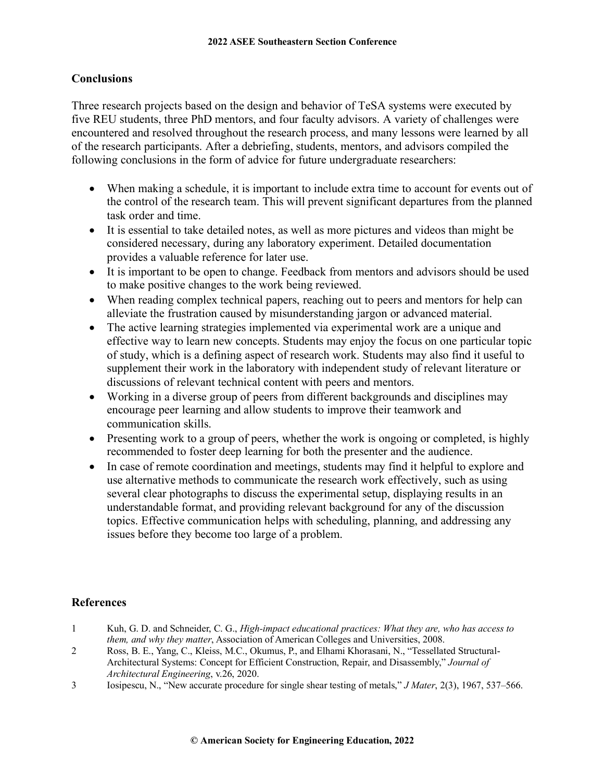# **Conclusions**

Three research projects based on the design and behavior of TeSA systems were executed by five REU students, three PhD mentors, and four faculty advisors. A variety of challenges were encountered and resolved throughout the research process, and many lessons were learned by all of the research participants. After a debriefing, students, mentors, and advisors compiled the following conclusions in the form of advice for future undergraduate researchers:

- When making a schedule, it is important to include extra time to account for events out of the control of the research team. This will prevent significant departures from the planned task order and time.
- It is essential to take detailed notes, as well as more pictures and videos than might be considered necessary, during any laboratory experiment. Detailed documentation provides a valuable reference for later use.
- It is important to be open to change. Feedback from mentors and advisors should be used to make positive changes to the work being reviewed.
- When reading complex technical papers, reaching out to peers and mentors for help can alleviate the frustration caused by misunderstanding jargon or advanced material.
- The active learning strategies implemented via experimental work are a unique and effective way to learn new concepts. Students may enjoy the focus on one particular topic of study, which is a defining aspect of research work. Students may also find it useful to supplement their work in the laboratory with independent study of relevant literature or discussions of relevant technical content with peers and mentors.
- Working in a diverse group of peers from different backgrounds and disciplines may encourage peer learning and allow students to improve their teamwork and communication skills.
- Presenting work to a group of peers, whether the work is ongoing or completed, is highly recommended to foster deep learning for both the presenter and the audience.
- In case of remote coordination and meetings, students may find it helpful to explore and use alternative methods to communicate the research work effectively, such as using several clear photographs to discuss the experimental setup, displaying results in an understandable format, and providing relevant background for any of the discussion topics. Effective communication helps with scheduling, planning, and addressing any issues before they become too large of a problem.

# **References**

- 1 Kuh, G. D. and Schneider, C. G., *High-impact educational practices: What they are, who has access to them, and why they matter*, Association of American Colleges and Universities, 2008.
- 2 Ross, B. E., Yang, C., Kleiss, M.C., Okumus, P., and Elhami Khorasani, N., "Tessellated Structural-Architectural Systems: Concept for Efficient Construction, Repair, and Disassembly," *Journal of Architectural Engineering*, v.26, 2020.
- 3 Iosipescu, N., "New accurate procedure for single shear testing of metals," *J Mater*, 2(3), 1967, 537–566.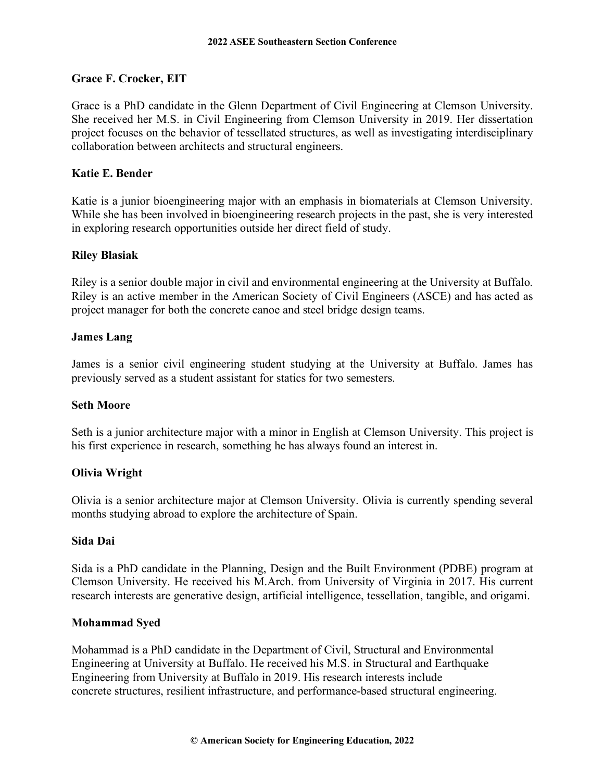# **Grace F. Crocker, EIT**

Grace is a PhD candidate in the Glenn Department of Civil Engineering at Clemson University. She received her M.S. in Civil Engineering from Clemson University in 2019. Her dissertation project focuses on the behavior of tessellated structures, as well as investigating interdisciplinary collaboration between architects and structural engineers.

#### **Katie E. Bender**

Katie is a junior bioengineering major with an emphasis in biomaterials at Clemson University. While she has been involved in bioengineering research projects in the past, she is very interested in exploring research opportunities outside her direct field of study.

#### **Riley Blasiak**

Riley is a senior double major in civil and environmental engineering at the University at Buffalo. Riley is an active member in the American Society of Civil Engineers (ASCE) and has acted as project manager for both the concrete canoe and steel bridge design teams.

#### **James Lang**

James is a senior civil engineering student studying at the University at Buffalo. James has previously served as a student assistant for statics for two semesters.

#### **Seth Moore**

Seth is a junior architecture major with a minor in English at Clemson University. This project is his first experience in research, something he has always found an interest in.

# **Olivia Wright**

Olivia is a senior architecture major at Clemson University. Olivia is currently spending several months studying abroad to explore the architecture of Spain.

#### **Sida Dai**

Sida is a PhD candidate in the Planning, Design and the Built Environment (PDBE) program at Clemson University. He received his M.Arch. from University of Virginia in 2017. His current research interests are generative design, artificial intelligence, tessellation, tangible, and origami.

#### **Mohammad Syed**

Mohammad is a PhD candidate in the Department of Civil, Structural and Environmental Engineering at University at Buffalo. He received his M.S. in Structural and Earthquake Engineering from University at Buffalo in 2019. His research interests include concrete structures, resilient infrastructure, and performance-based structural engineering.